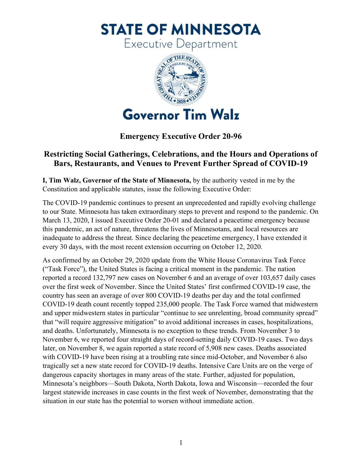**STATE OF MINNESOTA** 

Executive Department



Emergency Executive Order 20-96

## Restricting Social Gatherings, Celebrations, and the Hours and Operations of Bars, Restaurants, and Venues to Prevent Further Spread of COVID-19

 I, Tim Walz, Governor of the State of Minnesota, by the authority vested in me by the Constitution and applicable statutes, issue the following Executive Order:

 The COVID-19 pandemic continues to present an unprecedented and rapidly evolving challenge to our State. Minnesota has taken extraordinary steps to prevent and respond to the pandemic. On March 13, 2020, I issued Executive Order 20-01 and declared a peacetime emergency because this pandemic, an act of nature, threatens the lives of Minnesotans, and local resources are inadequate to address the threat. Since declaring the peacetime emergency, I have extended it every 30 days, with the most recent extension occurring on October 12, 2020.

 As confirmed by an October 29, 2020 update from the White House Coronavirus Task Force ("Task Force"), the United States is facing a critical moment in the pandemic. The nation reported a record 132,797 new cases on November 6 and an average of over 103,657 daily cases over the first week of November. Since the United States' first confirmed COVID-19 case, the country has seen an average of over 800 COVID-19 deaths per day and the total confirmed COVID-19 death count recently topped 235,000 people. The Task Force warned that midwestern and upper midwestern states in particular "continue to see unrelenting, broad community spread" that "will require aggressive mitigation" to avoid additional increases in cases, hospitalizations, and deaths. Unfortunately, Minnesota is no exception to these trends. From November 3 to November 6, we reported four straight days of record-setting daily COVID-19 cases. Two days later, on November 8, we again reported a state record of 5,908 new cases. Deaths associated with COVID-19 have been rising at a troubling rate since mid-October, and November 6 also tragically set a new state record for COVID-19 deaths. Intensive Care Units are on the verge of dangerous capacity shortages in many areas of the state. Further, adjusted for population, Minnesota's neighbors—South Dakota, North Dakota, Iowa and Wisconsin—recorded the four largest statewide increases in case counts in the first week of November, demonstrating that the situation in our state has the potential to worsen without immediate action.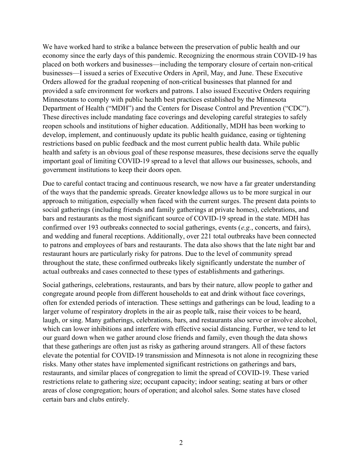We have worked hard to strike a balance between the preservation of public health and our economy since the early days of this pandemic. Recognizing the enormous strain COVID-19 has placed on both workers and businesses—including the temporary closure of certain non-critical businesses—I issued a series of Executive Orders in April, May, and June. These Executive Orders allowed for the gradual reopening of non-critical businesses that planned for and provided a safe environment for workers and patrons. I also issued Executive Orders requiring Minnesotans to comply with public health best practices established by the Minnesota Department of Health ("MDH") and the Centers for Disease Control and Prevention ("CDC"). These directives include mandating face coverings and developing careful strategies to safely reopen schools and institutions of higher education. Additionally, MDH has been working to develop, implement, and continuously update its public health guidance, easing or tightening restrictions based on public feedback and the most current public health data. While public health and safety is an obvious goal of these response measures, these decisions serve the equally important goal of limiting COVID-19 spread to a level that allows our businesses, schools, and government institutions to keep their doors open.

 Due to careful contact tracing and continuous research, we now have a far greater understanding of the ways that the pandemic spreads. Greater knowledge allows us to be more surgical in our approach to mitigation, especially when faced with the current surges. The present data points to social gatherings (including friends and family gatherings at private homes), celebrations, and bars and restaurants as the most significant source of COVID-19 spread in the state. MDH has confirmed over 193 outbreaks connected to social gatherings, events  $(e.g.,$  concerts, and fairs), and wedding and funeral receptions. Additionally, over 221 total outbreaks have been connected to patrons and employees of bars and restaurants. The data also shows that the late night bar and restaurant hours are particularly risky for patrons. Due to the level of community spread throughout the state, these confirmed outbreaks likely significantly understate the number of actual outbreaks and cases connected to these types of establishments and gatherings.

 Social gatherings, celebrations, restaurants, and bars by their nature, allow people to gather and congregate around people from different households to eat and drink without face coverings, often for extended periods of interaction. These settings and gatherings can be loud, leading to a larger volume of respiratory droplets in the air as people talk, raise their voices to be heard, laugh, or sing. Many gatherings, celebrations, bars, and restaurants also serve or involve alcohol, which can lower inhibitions and interfere with effective social distancing. Further, we tend to let our guard down when we gather around close friends and family, even though the data shows that these gatherings are often just as risky as gathering around strangers. All of these factors elevate the potential for COVID-19 transmission and Minnesota is not alone in recognizing these risks. Many other states have implemented significant restrictions on gatherings and bars, restaurants, and similar places of congregation to limit the spread of COVID-19. These varied restrictions relate to gathering size; occupant capacity; indoor seating; seating at bars or other areas of close congregation; hours of operation; and alcohol sales. Some states have closed certain bars and clubs entirely.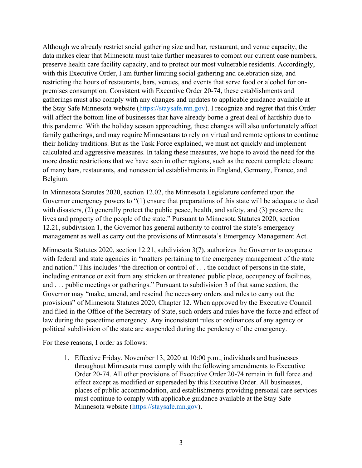Although we already restrict social gathering size and bar, restaurant, and venue capacity, the data makes clear that Minnesota must take further measures to combat our current case numbers, preserve health care facility capacity, and to protect our most vulnerable residents. Accordingly, with this Executive Order, I am further limiting social gathering and celebration size, and restricting the hours of restaurants, bars, venues, and events that serve food or alcohol for on- premises consumption. Consistent with Executive Order 20-74, these establishments and gatherings must also comply with any changes and updates to applicable guidance available at the Stay Safe Minnesota website (*<https://staysafe.mn.gov>*). I recognize and regret that this Order will affect the bottom line of businesses that have already borne a great deal of hardship due to this pandemic. With the holiday season approaching, these changes will also unfortunately affect family gatherings, and may require Minnesotans to rely on virtual and remote options to continue their holiday traditions. But as the Task Force explained, we must act quickly and implement calculated and aggressive measures. In taking these measures, we hope to avoid the need for the more drastic restrictions that we have seen in other regions, such as the recent complete closure of many bars, restaurants, and nonessential establishments in England, Germany, France, and Belgium.

 In Minnesota Statutes 2020, section 12.02, the Minnesota Legislature conferred upon the Governor emergency powers to "(1) ensure that preparations of this state will be adequate to deal with disasters, (2) generally protect the public peace, health, and safety, and (3) preserve the lives and property of the people of the state." Pursuant to Minnesota Statutes 2020, section 12.21, subdivision 1, the Governor has general authority to control the state's emergency management as well as carry out the provisions of Minnesota's Emergency Management Act.

 Minnesota Statutes 2020, section 12.21, subdivision 3(7), authorizes the Governor to cooperate with federal and state agencies in "matters pertaining to the emergency management of the state and nation." This includes "the direction or control of . . . the conduct of persons in the state, including entrance or exit from any stricken or threatened public place, occupancy of facilities, and . . . public meetings or gatherings." Pursuant to subdivision 3 of that same section, the Governor may "make, amend, and rescind the necessary orders and rules to carry out the provisions" of Minnesota Statutes 2020, Chapter 12. When approved by the Executive Council and filed in the Office of the Secretary of State, such orders and rules have the force and effect of law during the peacetime emergency. Any inconsistent rules or ordinances of any agency or political subdivision of the state are suspended during the pendency of the emergency.

For these reasons, I order as follows:

 1. Effective Friday, November 13, 2020 at 10:00 p.m., individuals and businesses throughout Minnesota must comply with the following amendments to Executive Order 20-74. All other provisions of Executive Order 20-74 remain in full force and effect except as modified or superseded by this Executive Order. All businesses, places of public accommodation, and establishments providing personal care services must continue to comply with applicable guidance available at the Stay Safe Minnesota website [\(https://staysafe.mn.gov](https://staysafe.mn.gov)).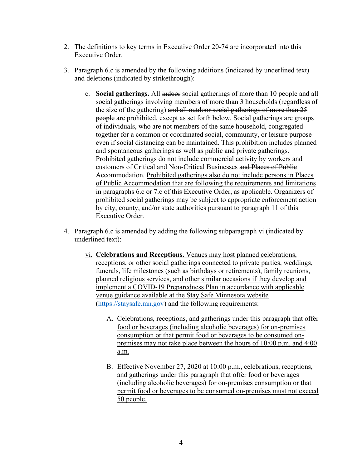- 2. The definitions to key terms in Executive Order 20-74 are incorporated into this Executive Order.
- 3. Paragraph 6.c is amended by the following additions (indicated by underlined text) and deletions (indicated by strikethrough):
	- c. Social gatherings. All indoor social gatherings of more than 10 people and all social gatherings involving members of more than 3 households (regardless of the size of the gathering) and all outdoor social gatherings of more than 25 people are prohibited, except as set forth below. Social gatherings are groups of individuals, who are not members of the same household, congregated together for a common or coordinated social, community, or leisure purpose— even if social distancing can be maintained. This prohibition includes planned and spontaneous gatherings as well as public and private gatherings. Prohibited gatherings do not include commercial activity by workers and customers of Critical and Non-Critical Businesses and Places of Public Accommodation. Prohibited gatherings also do not include persons in Places of Public Accommodation that are following the requirements and limitations in paragraphs 6.c or 7.c of this Executive Order, as applicable. Organizers of prohibited social gatherings may be subject to appropriate enforcement action by city, county, and/or state authorities pursuant to paragraph 11 of this Executive Order.
- 4. Paragraph 6.c is amended by adding the following subparagraph vi (indicated by underlined text):
	- vi. Celebrations and Receptions. Venues may host planned celebrations, receptions, or other social gatherings connected to private parties, weddings, funerals, life milestones (such as birthdays or retirements), family reunions, planned religious services, and other similar occasions if they develop and implement a COVID-19 Preparedness Plan in accordance with applicable venue guidance available at the Stay Safe Minnesota website [\(https://staysafe.mn.gov](https://staysafe.mn.gov)) and the following requirements:
		- A. Celebrations, receptions, and gatherings under this paragraph that offer food or beverages (including alcoholic beverages) for on-premises consumption or that permit food or beverages to be consumed on- premises may not take place between the hours of 10:00 p.m. and 4:00 a.m.
		- B. Effective November 27, 2020 at 10:00 p.m., celebrations, receptions, and gatherings under this paragraph that offer food or beverages (including alcoholic beverages) for on-premises consumption or that permit food or beverages to be consumed on-premises must not exceed 50 people.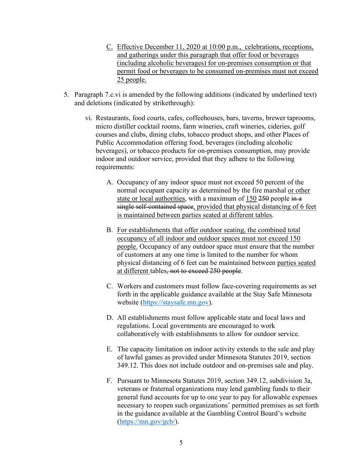- C. Effective December 11, 2020 at 10:00 p.m., celebrations, receptions, and gatherings under this paragraph that offer food or beverages (including alcoholic beverages) for on-premises consumption or that permit food or beverages to be consumed on-premises must not exceed 25 people.
- 5. Paragraph 7.c.vi is amended by the following additions (indicated by underlined text) and deletions (indicated by strikethrough):
	- vi. Restaurants, food courts, cafes, coffeehouses, bars, taverns, brewer taprooms, micro distiller cocktail rooms, farm wineries, craft wineries, cideries, golf courses and clubs, dining clubs, tobacco product shops, and other Places of Public Accommodation offering food, beverages (including alcoholic beverages), or tobacco products for on-premises consumption, may provide indoor and outdoor service, provided that they adhere to the following requirements:
		- A. Occupancy of any indoor space must not exceed 50 percent of the normal occupant capacity as determined by the fire marshal or other state or local authorities, with a maximum of 150 250 people in a single self-contained space, provided that physical distancing of 6 feet is maintained between parties seated at different tables.
		- B. For establishments that offer outdoor seating, the combined total occupancy of all indoor and outdoor spaces must not exceed 150 people. Occupancy of any outdoor space must ensure that the number of customers at any one time is limited to the number for whom physical distancing of 6 feet can be maintained between parties seated at different tables<del>, not to exceed 250 people</del>.
		- C. Workers and customers must follow face-covering requirements as set forth in the applicable guidance available at the Stay Safe Minnesota website (<https://staysafe.mn.gov>).
		- D. All establishments must follow applicable state and local laws and regulations. Local governments are encouraged to work collaboratively with establishments to allow for outdoor service.
		- E. The capacity limitation on indoor activity extends to the sale and play of lawful games as provided under Minnesota Statutes 2019, section 349.12. This does not include outdoor and on-premises sale and play.
		- F. Pursuant to Minnesota Statutes 2019, section 349.12, subdivision 3a, veterans or fraternal organizations may lend gambling funds to their general fund accounts for up to one year to pay for allowable expenses necessary to reopen such organizations' permitted premises as set forth in the guidance available at the Gambling Control Board's website [\(https://mn.gov/gcb](https://mn.gov/gcb)/).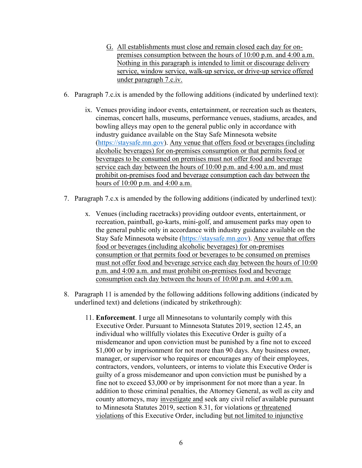- G. All establishments must close and remain closed each day for on- premises consumption between the hours of 10:00 p.m. and 4:00 a.m. Nothing in this paragraph is intended to limit or discourage delivery service, window service, walk-up service, or drive-up service offered under paragraph 7.c.iv.
- 6. Paragraph 7.c.ix is amended by the following additions (indicated by underlined text):
	- ix. Venues providing indoor events, entertainment, or recreation such as theaters, cinemas, concert halls, museums, performance venues, stadiums, arcades, and bowling alleys may open to the general public only in accordance with industry guidance available on the Stay Safe Minnesota website [\(https://staysafe.mn.gov](https://staysafe.mn.gov)). Any venue that offers food or beverages (including alcoholic beverages) for on-premises consumption or that permits food or beverages to be consumed on premises must not offer food and beverage service each day between the hours of 10:00 p.m. and 4:00 a.m. and must prohibit on-premises food and beverage consumption each day between the hours of 10:00 p.m. and 4:00 a.m.
- 7. Paragraph 7.c.x is amended by the following additions (indicated by underlined text):
	- x. Venues (including racetracks) providing outdoor events, entertainment, or recreation, paintball, go-karts, mini-golf, and amusement parks may open to the general public only in accordance with industry guidance available on the Stay Safe Minnesota website (<https://staysafe.mn.gov>). Any venue that offers food or beverages (including alcoholic beverages) for on-premises consumption or that permits food or beverages to be consumed on premises must not offer food and beverage service each day between the hours of 10:00 p.m. and 4:00 a.m. and must prohibit on-premises food and beverage consumption each day between the hours of 10:00 p.m. and 4:00 a.m.
- 8. Paragraph 11 is amended by the following additions following additions (indicated by underlined text) and deletions (indicated by strikethrough):
	- 11. Enforcement. I urge all Minnesotans to voluntarily comply with this Executive Order. Pursuant to Minnesota Statutes 2019, section 12.45, an individual who willfully violates this Executive Order is guilty of a misdemeanor and upon conviction must be punished by a fine not to exceed \$1,000 or by imprisonment for not more than 90 days. Any business owner, manager, or supervisor who requires or encourages any of their employees, contractors, vendors, volunteers, or interns to violate this Executive Order is guilty of a gross misdemeanor and upon conviction must be punished by a fine not to exceed \$3,000 or by imprisonment for not more than a year. In addition to those criminal penalties, the Attorney General, as well as city and county attorneys, may *investigate and* seek any civil relief available pursuant to Minnesota Statutes 2019, section 8.31, for violations or threatened violations of this Executive Order, including but not limited to injunctive